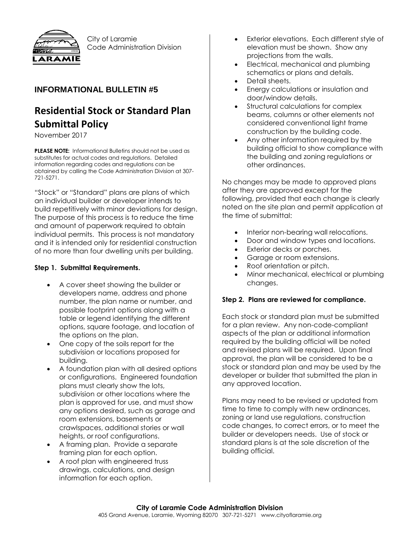

City of Laramie Code Administration Division

## **INFORMATIONAL BULLETIN #5**

# **Residential Stock or Standard Plan Submittal Policy**

November 2017

**PLEASE NOTE:** Informational Bulletins should not be used as substitutes for actual codes and regulations. Detailed information regarding codes and regulations can be obtained by calling the Code Administration Division at 307- 721-5271.

"Stock" or "Standard" plans are plans of which an individual builder or developer intends to build repetitively with minor deviations for design. The purpose of this process is to reduce the time and amount of paperwork required to obtain individual permits. This process is not mandatory and it is intended only for residential construction of no more than four dwelling units per building.

#### **Step 1. Submittal Requirements.**

- A cover sheet showing the builder or developers name, address and phone number, the plan name or number, and possible footprint options along with a table or legend identifying the different options, square footage, and location of the options on the plan.
- One copy of the soils report for the subdivision or locations proposed for building.
- A foundation plan with all desired options or configurations. Engineered foundation plans must clearly show the lots, subdivision or other locations where the plan is approved for use, and must show any options desired, such as garage and room extensions, basements or crawlspaces, additional stories or wall heights, or roof configurations.
- A framing plan. Provide a separate framing plan for each option.
- A roof plan with engineered truss drawings, calculations, and design information for each option.
- Exterior elevations. Each different style of elevation must be shown. Show any projections from the walls.
- Electrical, mechanical and plumbing schematics or plans and details.
- Detail sheets.
- Energy calculations or insulation and door/window details.
- Structural calculations for complex beams, columns or other elements not considered conventional light frame construction by the building code.
- Any other information required by the building official to show compliance with the building and zoning regulations or other ordinances.

No changes may be made to approved plans after they are approved except for the following, provided that each change is clearly noted on the site plan and permit application at the time of submittal:

- Interior non-bearing wall relocations.
- Door and window types and locations.
- Exterior decks or porches.
- Garage or room extensions.
- Roof orientation or pitch.
- Minor mechanical, electrical or plumbing changes.

### **Step 2. Plans are reviewed for compliance.**

Each stock or standard plan must be submitted for a plan review. Any non-code-compliant aspects of the plan or additional information required by the building official will be noted and revised plans will be required. Upon final approval, the plan will be considered to be a stock or standard plan and may be used by the developer or builder that submitted the plan in any approved location.

Plans may need to be revised or updated from time to time to comply with new ordinances, zoning or land use regulations, construction code changes, to correct errors, or to meet the builder or developers needs. Use of stock or standard plans is at the sole discretion of the building official.